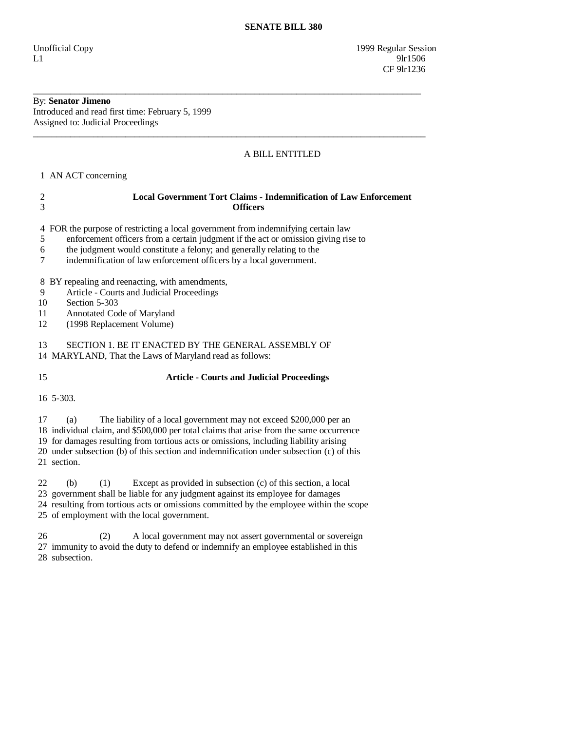Unofficial Copy 1999 Regular Session  $L1$  9lr1506 **CF** 9lr1236

## By: **Senator Jimeno**

Introduced and read first time: February 5, 1999 Assigned to: Judicial Proceedings

### A BILL ENTITLED

1 AN ACT concerning

# 2 **Local Government Tort Claims - Indemnification of Law Enforcement**  3 **Officers**

\_\_\_\_\_\_\_\_\_\_\_\_\_\_\_\_\_\_\_\_\_\_\_\_\_\_\_\_\_\_\_\_\_\_\_\_\_\_\_\_\_\_\_\_\_\_\_\_\_\_\_\_\_\_\_\_\_\_\_\_\_\_\_\_\_\_\_\_\_\_\_\_\_\_\_\_\_\_\_\_\_\_\_\_

\_\_\_\_\_\_\_\_\_\_\_\_\_\_\_\_\_\_\_\_\_\_\_\_\_\_\_\_\_\_\_\_\_\_\_\_\_\_\_\_\_\_\_\_\_\_\_\_\_\_\_\_\_\_\_\_\_\_\_\_\_\_\_\_\_\_\_\_\_\_\_\_\_\_\_\_\_\_\_\_\_\_\_\_\_

4 FOR the purpose of restricting a local government from indemnifying certain law

- 5 enforcement officers from a certain judgment if the act or omission giving rise to
- 6 the judgment would constitute a felony; and generally relating to the
- 7 indemnification of law enforcement officers by a local government.

8 BY repealing and reenacting, with amendments,

- 9 Article Courts and Judicial Proceedings
- 10 Section 5-303
- 11 Annotated Code of Maryland
- 12 (1998 Replacement Volume)

13 SECTION 1. BE IT ENACTED BY THE GENERAL ASSEMBLY OF

14 MARYLAND, That the Laws of Maryland read as follows:

### 15 **Article - Courts and Judicial Proceedings**

16 5-303.

17 (a) The liability of a local government may not exceed \$200,000 per an

18 individual claim, and \$500,000 per total claims that arise from the same occurrence

19 for damages resulting from tortious acts or omissions, including liability arising

 20 under subsection (b) of this section and indemnification under subsection (c) of this 21 section.

 22 (b) (1) Except as provided in subsection (c) of this section, a local 23 government shall be liable for any judgment against its employee for damages 24 resulting from tortious acts or omissions committed by the employee within the scope 25 of employment with the local government.

 26 (2) A local government may not assert governmental or sovereign 27 immunity to avoid the duty to defend or indemnify an employee established in this 28 subsection.